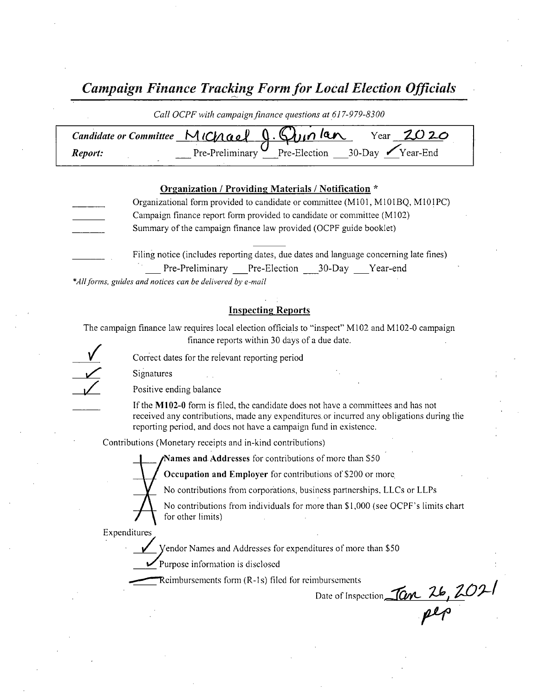Campaign Finance Tracking Form for Local Election Officials

|         | Call OCPF with campaign finance questions at 617-979-8300  |
|---------|------------------------------------------------------------|
|         | Candidate or Committee MIChael $9.6$ unlan Year $2020$     |
| Report: | Pre-Preliminary $\mathcal{U}$ Pre-Election 30-Day Year-End |

#### Organization / Providing Materials / Notification \*

- Organizational form provided to candidate or committee (M101, M101BQ, M101PC) Campaign finance report form provided to candidate or committee ( M102) Summary of the campaign finance law provided (OCPF guide booklet)
	- Filing notice( includes reporting dates, due dates and language concerning late fines) Pre-Preliminary Pre-Election 30-Day Year-end

\*All forms, guides and notices can be delivered by e-mail

#### Inspecting Reports

The campaign finance law requires local election officials to "inspect" M102 and M102-0 campaign finance reports within 30 days of <sup>a</sup> due date.

 $\diagup$  $\frac{1}{\sqrt{2}}$ 

Correct dates for the relevant reporting period

Signatures

Positive ending balance

If the M102-0 form is filed, the candidate does not have a committees and has not received any contributions, made any expenditures. or incurred any obligations during the reporting period, and does not have a campaign fund in existence.

Contributions ( Monetary receipts and in- kind contributions)

Names and Addresses for contributions of more than \$50

Occupation and Employer for contributions of \$200 or more

No contributions from corporations, business partnerships, LLCs or LLPs

No contributions from individuals for more than \$1,000 (see OCPF's limits chart for other limits)

Expenditures

endor Names and Addresses for expenditures of more than \$50

Purpose information is disclosed

It Use of the Marine States of means and Addresses for expenditures of motor Purpose information is disclosed<br>Reimbursements form (R-1s) filed for reimbursements of the party of the of the party of the party of the party o

Reimbursements form (R-1s) filed for reimbursements<br>Date of Inspection, Tan 26, 2021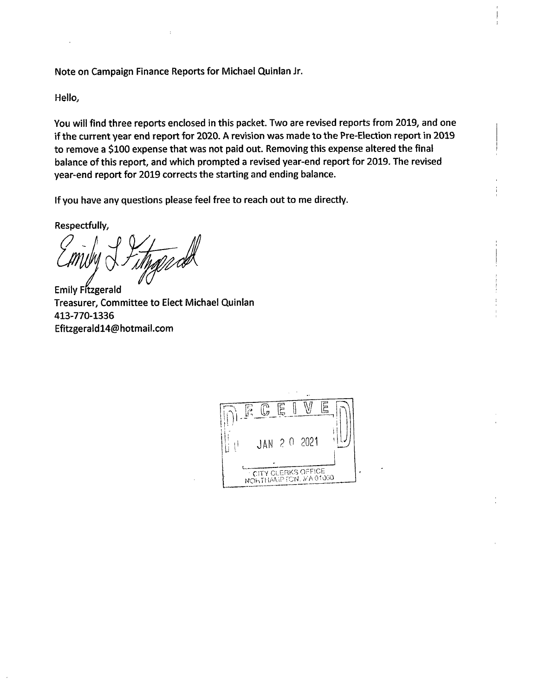Note on Campaign Finance Reports for Michael Quinlan Jr.

Hello,

You will find three reports enclosed in this packet. Two are revised reports from 2019, and one if the current year end report for 2020. A revision was made to the Pre-Election report in 2019 to remove a \$100 expense that was not paid out. Removing this expense altered the final balance of this report, and which prompted a revised year-end report for 2019. The revised year-end report for 2019 corrects the starting and ending balance.

If you have any questions please feel free to reach out to me directly.

Respectfully,

 $\sqrt{f_{\mu}}$ 

Emily Fitzgerald Treasurer, Committee to Elect Michael Quinlan 413- 770- 1336 Efitzgerald14@hotmail. com

| g | F. |                                                      | 딜 |  |
|---|----|------------------------------------------------------|---|--|
|   |    | JAN 2 0 2021                                         |   |  |
|   |    | <b>CITY CLERKS OFFICE</b><br>NOHTHANIP FON, MA 01060 |   |  |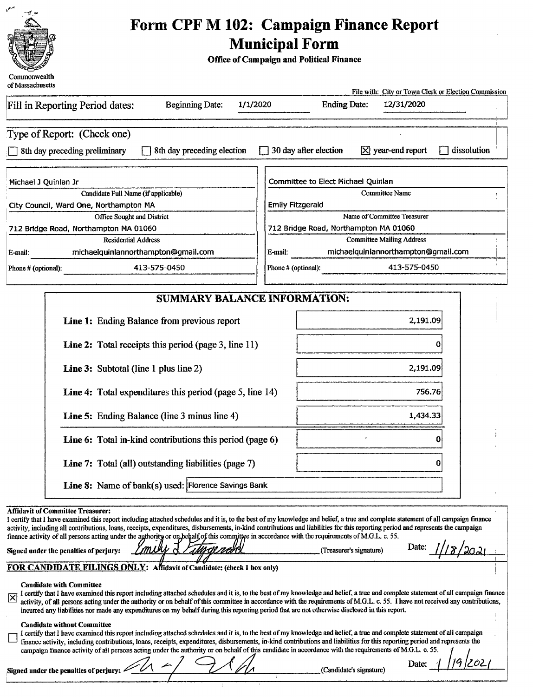

# Form CPF M 102: Campaign Finance Report Municipal Form

Office of Campaign and Political Finance

| of Massachusetts                                                                                                                                                                                                                                                                                                                                                                                                                                                                                                                                                                                                                                                                       | File with: City or Town Clerk or Election Commission                                                                                                                                                                                                                                                                                                               |
|----------------------------------------------------------------------------------------------------------------------------------------------------------------------------------------------------------------------------------------------------------------------------------------------------------------------------------------------------------------------------------------------------------------------------------------------------------------------------------------------------------------------------------------------------------------------------------------------------------------------------------------------------------------------------------------|--------------------------------------------------------------------------------------------------------------------------------------------------------------------------------------------------------------------------------------------------------------------------------------------------------------------------------------------------------------------|
| Fill in Reporting Period dates:<br><b>Beginning Date:</b><br>1/1/2020                                                                                                                                                                                                                                                                                                                                                                                                                                                                                                                                                                                                                  | <b>Ending Date:</b><br>12/31/2020                                                                                                                                                                                                                                                                                                                                  |
| Type of Report: (Check one)<br>8th day preceding election<br>3th day preceding preliminary                                                                                                                                                                                                                                                                                                                                                                                                                                                                                                                                                                                             | 30 day after election<br>$\overline{X}$ year-end report<br>dissolution                                                                                                                                                                                                                                                                                             |
| Michael J Quinlan Jr<br>Candidate Full Name (if applicable)<br>City Council, Ward One, Northampton MA<br>Office Sought and District                                                                                                                                                                                                                                                                                                                                                                                                                                                                                                                                                    | Committee to Elect Michael Quinlan<br><b>Committee Name</b><br>Emily Fitzgerald<br>Name of Committee Treasurer                                                                                                                                                                                                                                                     |
| 712 Bridge Road, Northampton MA 01060<br><b>Residential Address</b><br>michaelquinlannorthampton@gmail.com<br>E-mail:<br>413-575-0450<br>Phone # (optional):                                                                                                                                                                                                                                                                                                                                                                                                                                                                                                                           | 712 Bridge Road, Northampton MA 01060<br><b>Committee Mailing Address</b><br>michaelquinlannorthampton@gmail.com<br>E-mail:<br>413-575-0450<br>Phone # (optional):                                                                                                                                                                                                 |
| SUMMARY BALANCE INFORMATION:                                                                                                                                                                                                                                                                                                                                                                                                                                                                                                                                                                                                                                                           |                                                                                                                                                                                                                                                                                                                                                                    |
| Line 1: Ending Balance from previous report                                                                                                                                                                                                                                                                                                                                                                                                                                                                                                                                                                                                                                            | 2,191.09                                                                                                                                                                                                                                                                                                                                                           |
| <b>Line 2:</b> Total receipts this period (page 3, line 11)                                                                                                                                                                                                                                                                                                                                                                                                                                                                                                                                                                                                                            | Ω                                                                                                                                                                                                                                                                                                                                                                  |
| <b>Line 3:</b> Subtotal (line 1 plus line 2)                                                                                                                                                                                                                                                                                                                                                                                                                                                                                                                                                                                                                                           | 2,191.09                                                                                                                                                                                                                                                                                                                                                           |
| Line 4: Total expenditures this period (page 5, line 14)                                                                                                                                                                                                                                                                                                                                                                                                                                                                                                                                                                                                                               | 756.76                                                                                                                                                                                                                                                                                                                                                             |
| Line 5: Ending Balance (line 3 minus line 4)                                                                                                                                                                                                                                                                                                                                                                                                                                                                                                                                                                                                                                           | 1,434.33                                                                                                                                                                                                                                                                                                                                                           |
| Line 6: Total in-kind contributions this period (page 6)                                                                                                                                                                                                                                                                                                                                                                                                                                                                                                                                                                                                                               | 0                                                                                                                                                                                                                                                                                                                                                                  |
| Line 7: Total (all) outstanding liabilities (page 7)                                                                                                                                                                                                                                                                                                                                                                                                                                                                                                                                                                                                                                   | 0                                                                                                                                                                                                                                                                                                                                                                  |
| Line 8: Name of bank(s) used: Florence Savings Bank                                                                                                                                                                                                                                                                                                                                                                                                                                                                                                                                                                                                                                    |                                                                                                                                                                                                                                                                                                                                                                    |
| <b>Affidavit of Committee Treasurer:</b><br>I certify that I have examined this report including attached schedules and it is, to the best of my knowledge and belief, a true and complete statement of all campaign finance<br>activity, including all contributions, loans, receipts, expenditures, disbursements, in-kind contributions and liabilities for this reporting period and represents the campaign<br>finance activity of all persons acting under the authority or on behalf of this committee in accordance with the requirements of M.G.L. c. 55.<br>Signed under the penalties of perjury:<br>FOR CANDIDATE FILINGS ONLY: Affidavit of Candidate: (check 1 box only) | Date:<br>(Treasurer's signature)                                                                                                                                                                                                                                                                                                                                   |
| <b>Candidate with Committee</b>                                                                                                                                                                                                                                                                                                                                                                                                                                                                                                                                                                                                                                                        |                                                                                                                                                                                                                                                                                                                                                                    |
| Ñ<br>incurred any liabilities nor made any expenditures on my behalf during this reporting period that are not otherwise disclosed in this report.                                                                                                                                                                                                                                                                                                                                                                                                                                                                                                                                     | I certify that I have examined this report including attached schedules and it is, to the best of my knowledge and belief, a true and complete statement of all campaign finance<br>activity, of all persons acting under the authority or on behalf of this committee in accordance with the requirements of M.G.L. c. 55. I have not received any contributions, |
| <b>Candidate without Committee</b><br>I certify that I have examined this report including attached schedules and it is, to the best of my knowledge and belief, a true and complete statement of all campaign<br>finance activity, including contributions, loans, receipts, expenditures, disbursements, in-kind contributions and liabilities for this reporting period and represents the<br>campaign finance activity of all persons acting under the authority or on behalf of this candidate in accordance with the requirements of M.G.L. c. 55.                                                                                                                               |                                                                                                                                                                                                                                                                                                                                                                    |
| Signed under the penalties of perjury:                                                                                                                                                                                                                                                                                                                                                                                                                                                                                                                                                                                                                                                 | Date:<br>(Candidate's signature)                                                                                                                                                                                                                                                                                                                                   |

τ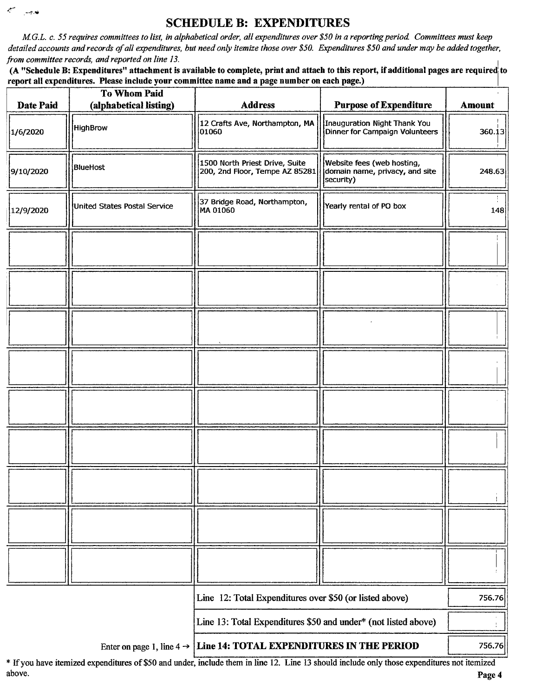# SCHEDULE B: EXPENDITURES

 $\mathcal{L}^{\mathcal{L}}$ فعرجت

M.G.L. c. 55 requires committees to list, in alphabetical order, all expenditures over\$ 50 in a reporting period Committees must keep detailed accounts and records of all expenditures, but need only itemize those over \$50. Expenditures \$50 and under may be added together, from committee records, and reported on line 13.

(A "Schedule B: Expenditures" attachment is available to complete, print and attach to this report, if additional pages are required to report all expenditures. Please include your committee name and a page number on each page.)

| Date Paid | <b>To Whom Paid</b><br>(alphabetical listing) | <b>Address</b>                                                                  | <b>Purpose of Expenditure</b>                                             | <b>Amount</b> |
|-----------|-----------------------------------------------|---------------------------------------------------------------------------------|---------------------------------------------------------------------------|---------------|
| 1/6/2020  | HighBrow                                      | 12 Crafts Ave, Northampton, MA<br>01060                                         | Inauguration Night Thank You<br>Dinner for Campaign Volunteers            | 360.13        |
| 9/10/2020 | BlueHost                                      | 1500 North Priest Drive, Suite<br>200, 2nd Floor, Tempe AZ 85281                | Website fees (web hosting,<br>domain name, privacy, and site<br>security) | 248.63        |
| 12/9/2020 | United States Postal Service                  | 37 Bridge Road, Northampton,<br>MA 01060                                        | Yearly rental of PO box                                                   | 148           |
|           |                                               |                                                                                 |                                                                           |               |
|           |                                               |                                                                                 |                                                                           |               |
|           |                                               |                                                                                 |                                                                           |               |
|           |                                               |                                                                                 |                                                                           |               |
|           |                                               |                                                                                 |                                                                           |               |
|           |                                               |                                                                                 |                                                                           |               |
|           |                                               |                                                                                 |                                                                           |               |
|           |                                               |                                                                                 |                                                                           |               |
|           |                                               |                                                                                 |                                                                           |               |
|           |                                               | Line 12: Total Expenditures over \$50 (or listed above)                         |                                                                           | 756.76        |
|           |                                               | Line 13: Total Expenditures \$50 and under* (not listed above)                  |                                                                           |               |
|           |                                               | Enter on page 1, line $4 \rightarrow$ Line 14: TOTAL EXPENDITURES IN THE PERIOD |                                                                           | 756.76        |

If you have itemized expenditures of\$50 and under, include them in line 12. Line <sup>13</sup> should include only those expenditures not itemized above. Page <sup>4</sup>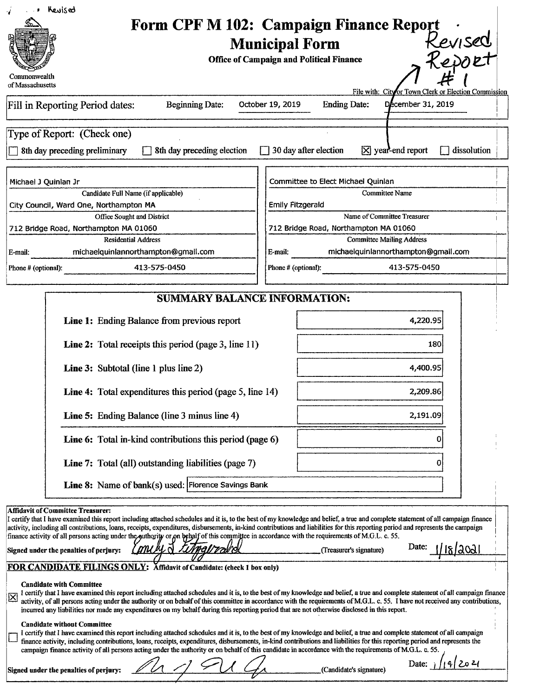| . Bevised                                                                                                                                                                                                                                                                                                                                      |                                                                      |                                                      |  |
|------------------------------------------------------------------------------------------------------------------------------------------------------------------------------------------------------------------------------------------------------------------------------------------------------------------------------------------------|----------------------------------------------------------------------|------------------------------------------------------|--|
| RANGE BA                                                                                                                                                                                                                                                                                                                                       | Form CPF M 102: Campaign Finance Report .                            |                                                      |  |
|                                                                                                                                                                                                                                                                                                                                                | <b>Municipal Form</b>                                                | Kevised                                              |  |
|                                                                                                                                                                                                                                                                                                                                                |                                                                      |                                                      |  |
|                                                                                                                                                                                                                                                                                                                                                | <b>Office of Campaign and Political Finance</b>                      | Report                                               |  |
| Commonwealth                                                                                                                                                                                                                                                                                                                                   |                                                                      |                                                      |  |
| of Massachusetts                                                                                                                                                                                                                                                                                                                               |                                                                      | File with: City or Town Clerk or Election Commission |  |
| Fill in Reporting Period dates:<br><b>Beginning Date:</b>                                                                                                                                                                                                                                                                                      | <b>Ending Date:</b><br>October 19, 2019                              | December 31, 2019                                    |  |
|                                                                                                                                                                                                                                                                                                                                                |                                                                      |                                                      |  |
| Type of Report: (Check one)                                                                                                                                                                                                                                                                                                                    |                                                                      |                                                      |  |
|                                                                                                                                                                                                                                                                                                                                                |                                                                      |                                                      |  |
| □ 8th day preceding preliminary □ 8th day preceding election □ 30 day after election ⊠ year-end report □ dissolution                                                                                                                                                                                                                           |                                                                      |                                                      |  |
|                                                                                                                                                                                                                                                                                                                                                |                                                                      |                                                      |  |
| Michael J Quinlan Jr                                                                                                                                                                                                                                                                                                                           | Committee to Elect Michael Quinlan                                   |                                                      |  |
| Candidate Full Name (if applicable)                                                                                                                                                                                                                                                                                                            | Committee Name                                                       |                                                      |  |
| City Council, Ward One, Northampton MA                                                                                                                                                                                                                                                                                                         | Emily Fitzgerald                                                     |                                                      |  |
| Office Sought and District                                                                                                                                                                                                                                                                                                                     | Name of Committee Treasurer<br>712 Bridge Road, Northampton MA 01060 |                                                      |  |
| 712 Bridge Road, Northampton MA 01060<br><b>Residential Address</b>                                                                                                                                                                                                                                                                            | <b>Committee Mailing Address</b>                                     |                                                      |  |
| michaelquinlannorthampton@gmail.co<br>?-mail                                                                                                                                                                                                                                                                                                   | michaelquinlannorthampton@gmail.com<br>E-mail:                       |                                                      |  |
|                                                                                                                                                                                                                                                                                                                                                |                                                                      | 413-575-0450                                         |  |
| 413-575-0450<br>Phone # (optional):                                                                                                                                                                                                                                                                                                            | Phone # (optional):                                                  |                                                      |  |
|                                                                                                                                                                                                                                                                                                                                                |                                                                      |                                                      |  |
| <b>SUMMARY BALANCE INFORMATION:</b>                                                                                                                                                                                                                                                                                                            |                                                                      |                                                      |  |
|                                                                                                                                                                                                                                                                                                                                                |                                                                      | 4,220.95                                             |  |
| Line 1: Ending Balance from previous report                                                                                                                                                                                                                                                                                                    |                                                                      |                                                      |  |
| Line 2: Total receipts this period (page 3, line 11)                                                                                                                                                                                                                                                                                           |                                                                      |                                                      |  |
|                                                                                                                                                                                                                                                                                                                                                |                                                                      |                                                      |  |
| <b>Line 3:</b> Subtotal (line 1 plus line 2)                                                                                                                                                                                                                                                                                                   |                                                                      | 4.400.95                                             |  |
|                                                                                                                                                                                                                                                                                                                                                |                                                                      |                                                      |  |
| <b>Line 4:</b> Total expenditures this period (page 5, line 14)                                                                                                                                                                                                                                                                                |                                                                      | 2,209.86                                             |  |
|                                                                                                                                                                                                                                                                                                                                                |                                                                      | -----                                                |  |
| <b>Line 5:</b> Ending Balance (line 3 minus line 4)                                                                                                                                                                                                                                                                                            |                                                                      | 2,191.09                                             |  |
| <b>Line 6:</b> Total in-kind contributions this period (page 6)                                                                                                                                                                                                                                                                                |                                                                      |                                                      |  |
|                                                                                                                                                                                                                                                                                                                                                |                                                                      |                                                      |  |
| Line 7: Total (all) outstanding liabilities (page 7)                                                                                                                                                                                                                                                                                           |                                                                      |                                                      |  |
|                                                                                                                                                                                                                                                                                                                                                |                                                                      |                                                      |  |
| <b>Line 8:</b> Name of bank(s) used: Florence Savings Bank                                                                                                                                                                                                                                                                                     |                                                                      |                                                      |  |
|                                                                                                                                                                                                                                                                                                                                                |                                                                      |                                                      |  |
| Affidavit of Committee Treasurer:                                                                                                                                                                                                                                                                                                              |                                                                      |                                                      |  |
| I certify that I have examined this report including attached schedules and it is, to the best of my knowledge and belief, a true and complete statement of all campaign finance activity, including all contributions, loans,                                                                                                                 |                                                                      |                                                      |  |
| finance activity of all persons acting under the puthority or on behalf of this committee in accordance with the requirements of M.G.L. c. 55.                                                                                                                                                                                                 |                                                                      |                                                      |  |
| Signed under the penalties of perjury: <i>Ymuly &amp; Kitngtrald</i>                                                                                                                                                                                                                                                                           | Treasurer's signature)                                               | <u>ı/ıs/2021 -</u>                                   |  |
| FOR CANDIDATE FILINGS ONLY: Affidavit of Candidate: (check 1 box only)                                                                                                                                                                                                                                                                         |                                                                      |                                                      |  |
| <b>Candidate with Committee</b>                                                                                                                                                                                                                                                                                                                |                                                                      |                                                      |  |
| I certify that I have examined this report including attached schedules and it is, to the best of my knowledge and belief, a true and complete statement of all campaign finance activity, of all persons acting under the au                                                                                                                  |                                                                      |                                                      |  |
| incurred any liabilities nor made any expenditures on my behalf during this reporting period that are not otherwise disclosed in this report.                                                                                                                                                                                                  |                                                                      |                                                      |  |
| <b>Candidate without Committee</b>                                                                                                                                                                                                                                                                                                             |                                                                      |                                                      |  |
| I certify that I have examined this report including attached schedules and it is, to the best of my knowledge and belief, a true and complete statement of all campaign                                                                                                                                                                       |                                                                      |                                                      |  |
| $\perp$ finance activity, including contributions, loans, receipts, expenditures, disbursements, in-kind contributions and liabilities for this reporting period and represents the<br>campaign finance activity of all persons acting under the authority or on behalf of this candidate in accordance with the requirements of M.G.L. c. 55. |                                                                      |                                                      |  |
|                                                                                                                                                                                                                                                                                                                                                |                                                                      | Date: $\sqrt{(9/20^2)}$                              |  |
| Signed under the penalties of perjury: $\mathbb{Z}$                                                                                                                                                                                                                                                                                            | (Candidate's signature)                                              |                                                      |  |
|                                                                                                                                                                                                                                                                                                                                                |                                                                      |                                                      |  |
|                                                                                                                                                                                                                                                                                                                                                |                                                                      |                                                      |  |
|                                                                                                                                                                                                                                                                                                                                                |                                                                      |                                                      |  |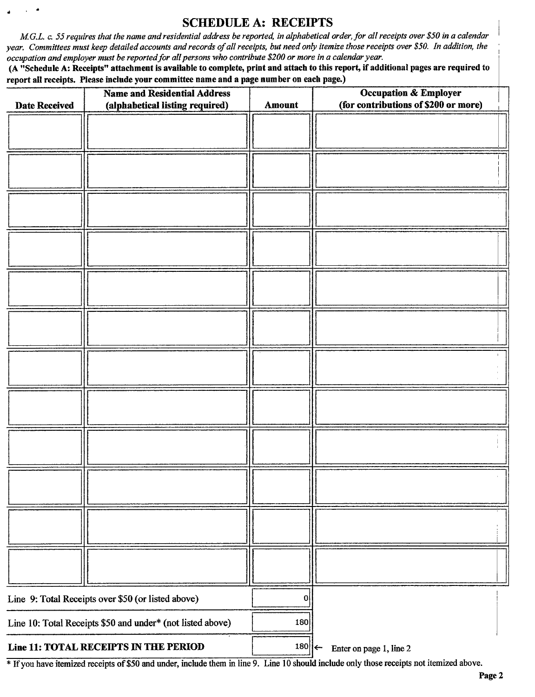## SCHEDULE A: RECEIPTS

M.G.L. c. 55 requires that the name and residential address be reported, in alphabetical order, for all receipts over \$50 in a calendar year. Committees must keep detailed accounts and records of all receipts, but need only itemize those receipts over \$50. In addition, the occupation and employer must be reported for all persons who contribute \$200 or more in a calendar year.

d

A" Schedule A: Receipts" attachment is available to complete, print and attach to this report, if additional pages are required to report all receipts. Please include your committee name and a page number on each page.)

| <b>Date Received</b> | <b>Name and Residential Address</b><br>(alphabetical listing required) | Amount | <b>Occupation &amp; Employer</b><br>(for contributions of \$200 or more) |
|----------------------|------------------------------------------------------------------------|--------|--------------------------------------------------------------------------|
|                      |                                                                        |        |                                                                          |
|                      |                                                                        |        |                                                                          |
|                      |                                                                        |        |                                                                          |
|                      |                                                                        |        |                                                                          |
|                      |                                                                        |        |                                                                          |
|                      |                                                                        |        |                                                                          |
|                      |                                                                        |        |                                                                          |
|                      |                                                                        |        |                                                                          |
|                      |                                                                        |        |                                                                          |
|                      |                                                                        |        |                                                                          |
|                      |                                                                        |        |                                                                          |
|                      |                                                                        |        |                                                                          |
|                      |                                                                        |        |                                                                          |
|                      |                                                                        |        |                                                                          |
|                      |                                                                        |        |                                                                          |
|                      |                                                                        |        |                                                                          |
|                      |                                                                        |        |                                                                          |
|                      |                                                                        |        |                                                                          |
|                      |                                                                        |        |                                                                          |
|                      |                                                                        |        |                                                                          |
|                      | Line 9: Total Receipts over \$50 (or listed above)                     | 0      |                                                                          |
|                      | Line 10: Total Receipts \$50 and under* (not listed above)             | 180    |                                                                          |
|                      | Line 11: TOTAL RECEIPTS IN THE PERIOD                                  | 180    | Enter on page 1, line 2                                                  |

<sup>\*</sup> If you have itemized receipts of \$50 and under, include them in line 9. Line 10 should include only those receipts not itemized above.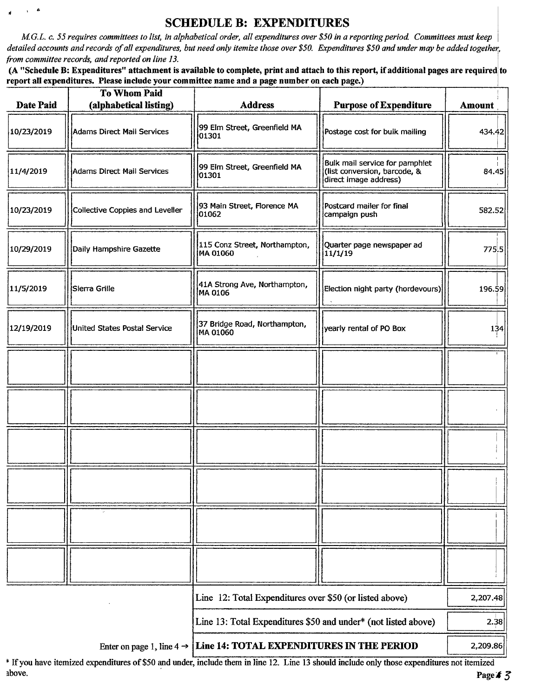# SCHEDULE B: EXPENDITURES

M.G.L. c. 55 requires committees to list, in alphabetical order, all expenditures over \$50 in a reporting period. Committees must keep detailed accounts and records of all expenditures, but need only itemize those over \$50. Expenditures \$50 and under may be added together, from committee records, and reported on line 13.

(A "Schedule B: Expenditures" attachment is available to complete, print and attach to this report, if additional pages are required to report all expenditures. Please include your committee name and a page number on each page.)

| <b>Date Paid</b> | To Whom Paid<br>(alphabetical listing) | <b>Address</b>                                                                  | <b>Purpose of Expenditure</b>                                                           | Amount   |
|------------------|----------------------------------------|---------------------------------------------------------------------------------|-----------------------------------------------------------------------------------------|----------|
| 10/23/2019       | Adams Direct Mail Services             | 99 Elm Street, Greenfield MA<br>01301                                           | Postage cost for bulk mailing                                                           | 434.42   |
| 11/4/2019        | Adams Direct Mail Services             | 99 Elm Street, Greenfield MA<br>01301                                           | Bulk mail service for pamphlet<br>(list conversion, barcode, &<br>direct image address) | 84.45    |
| 10/23/2019       | Collective Coppies and Leveller        | 93 Main Street, Florence MA<br>01062                                            | Postcard mailer for final<br>campaign push                                              | 582.52   |
| 10/29/2019       | Daily Hampshire Gazette                | 115 Conz Street, Northampton,<br>MA 01060                                       | Quarter page newspaper ad<br>11/1/19                                                    | 775.5    |
| 11/5/2019        | Sierra Grille                          | 41A Strong Ave, Northampton,<br>MA 0106                                         | Election night party (hordevours)                                                       | 196.59   |
| 12/19/2019       | United States Postal Service           | 37 Bridge Road, Northampton,<br>MA 01060                                        | yearly rental of PO Box                                                                 | 134      |
|                  |                                        |                                                                                 |                                                                                         |          |
|                  |                                        |                                                                                 |                                                                                         |          |
|                  |                                        |                                                                                 |                                                                                         |          |
|                  |                                        |                                                                                 |                                                                                         |          |
|                  |                                        |                                                                                 |                                                                                         |          |
|                  |                                        |                                                                                 |                                                                                         |          |
|                  |                                        | Line 12: Total Expenditures over \$50 (or listed above)                         |                                                                                         | 2,207.48 |
|                  |                                        | Line 13: Total Expenditures \$50 and under* (not listed above)                  |                                                                                         | 2.38     |
|                  |                                        | Enter on page 1, line $4 \rightarrow$ Line 14: TOTAL EXPENDITURES IN THE PERIOD |                                                                                         | 2,209.86 |

\* If you have itemized expenditures of \$50 and under, include them in line 12. Line 13 should include only those expenditures not itemized above. above. Page  $\frac{1}{3}$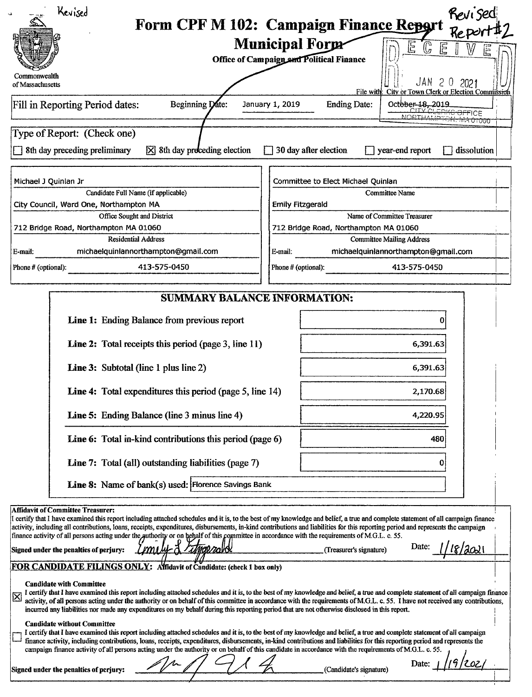| Kevised                                                                                                                                                                                                                        | Revised                                                                                                                                                                                                                                                                                                                                                         |  |  |  |
|--------------------------------------------------------------------------------------------------------------------------------------------------------------------------------------------------------------------------------|-----------------------------------------------------------------------------------------------------------------------------------------------------------------------------------------------------------------------------------------------------------------------------------------------------------------------------------------------------------------|--|--|--|
|                                                                                                                                                                                                                                | Form CPF M 102: Campaign Finance Report Report #2                                                                                                                                                                                                                                                                                                               |  |  |  |
|                                                                                                                                                                                                                                | <b>Municipal Form</b>                                                                                                                                                                                                                                                                                                                                           |  |  |  |
| RESERVE TO BE A RESERVED TO BE A RESERVED ON THE RESERVED OF THE RESERVED OF THE RESERVED OF THE RESERVED OF THE RESERVED OF THE RESERVED OF THE RESERVED OF THE RESERVED OF THE RESERVED OF THE RESERVED OF THE RESERVED OF T | <b>Office of Campaign and Political Finance</b>                                                                                                                                                                                                                                                                                                                 |  |  |  |
| of Massachusetts                                                                                                                                                                                                               | File with City or Town Clerk or Election Commission                                                                                                                                                                                                                                                                                                             |  |  |  |
| Fill in Reporting Period dates:<br>Beginning Date                                                                                                                                                                              | $\left\{\n \begin{array}{c}\n \text{October: } 18, 2019 \\ \text{CITY CLERKG OFFICE}\n \hline\n \text{MOBTHAMBTCK, MA O1060}\n \end{array}\n\right.$<br><b>Ending Date:</b><br>January 1, 2019                                                                                                                                                                  |  |  |  |
|                                                                                                                                                                                                                                |                                                                                                                                                                                                                                                                                                                                                                 |  |  |  |
| Type of Report: (Check one)                                                                                                                                                                                                    |                                                                                                                                                                                                                                                                                                                                                                 |  |  |  |
|                                                                                                                                                                                                                                | $\Box$ 8th day preceding preliminary $\boxtimes$ 8th day proceding election $\Box$ 30 day after election $\Box$ year-end report $\Box$ dissolution                                                                                                                                                                                                              |  |  |  |
| Michael J Quinlan Jr                                                                                                                                                                                                           | Committee to Elect Michael Quinlan                                                                                                                                                                                                                                                                                                                              |  |  |  |
| Candidate Full Name (if applicable)                                                                                                                                                                                            | Committee Name                                                                                                                                                                                                                                                                                                                                                  |  |  |  |
| City Council, Ward One, Northampton MA<br>Office Sought and District                                                                                                                                                           | $\vert$ Emily Fitzgerald<br>Name of Committee Treasurer                                                                                                                                                                                                                                                                                                         |  |  |  |
| 712 Bridge Road, Northampton MA 01060                                                                                                                                                                                          | 712 Bridge Road, Northampton MA 01060                                                                                                                                                                                                                                                                                                                           |  |  |  |
| <b>Residential Address</b><br>michaelquinlannorthampton@gmail.com<br>E-mail:                                                                                                                                                   | <b>Committee Mailing Address</b><br>michaelquinlannorthampton@gmail.com<br>E-mail:                                                                                                                                                                                                                                                                              |  |  |  |
| 413-575-0450<br>Phone # (optional):                                                                                                                                                                                            | 413-575-0450<br>Phone # (optional):                                                                                                                                                                                                                                                                                                                             |  |  |  |
|                                                                                                                                                                                                                                |                                                                                                                                                                                                                                                                                                                                                                 |  |  |  |
|                                                                                                                                                                                                                                | SUMMARY BALANCE INFORMATION:                                                                                                                                                                                                                                                                                                                                    |  |  |  |
| Line 1: Ending Balance from previous report                                                                                                                                                                                    |                                                                                                                                                                                                                                                                                                                                                                 |  |  |  |
| <b>Line 2:</b> Total receipts this period (page 3, line 11)                                                                                                                                                                    | 6,391.63                                                                                                                                                                                                                                                                                                                                                        |  |  |  |
|                                                                                                                                                                                                                                |                                                                                                                                                                                                                                                                                                                                                                 |  |  |  |
| <b>Line 3:</b> Subtotal (line 1 plus line 2)                                                                                                                                                                                   | 6,391.63                                                                                                                                                                                                                                                                                                                                                        |  |  |  |
| Line 4: Total expenditures this period (page 5, line 14)                                                                                                                                                                       | 2,170.68                                                                                                                                                                                                                                                                                                                                                        |  |  |  |
| Line 5: Ending Balance (line 3 minus line 4)                                                                                                                                                                                   | 4,220.95                                                                                                                                                                                                                                                                                                                                                        |  |  |  |
| Line 6: Total in-kind contributions this period (page 6)                                                                                                                                                                       |                                                                                                                                                                                                                                                                                                                                                                 |  |  |  |
| Line 7: Total (all) outstanding liabilities (page 7)                                                                                                                                                                           |                                                                                                                                                                                                                                                                                                                                                                 |  |  |  |
|                                                                                                                                                                                                                                |                                                                                                                                                                                                                                                                                                                                                                 |  |  |  |
| <b>Line 8:</b> Name of bank(s) used: Florence Savings Bank                                                                                                                                                                     |                                                                                                                                                                                                                                                                                                                                                                 |  |  |  |
| Affidavit of Committee Treasurer:                                                                                                                                                                                              | I certify that I have examined this report including attached schedules and it is, to the best of my knowledge and belief, a true and complete statement of all campaign finance                                                                                                                                                                                |  |  |  |
| finance activity of all persons acting under the quthority or on behalf of this committee in accordance with the requirements of M.G.L. c. 55.                                                                                 | activity, including all contributions, loans, receipts, expenditures, disbursements, in-kind contributions and liabilities for this reporting period and represents the campaign                                                                                                                                                                                |  |  |  |
| Signed under the penalties of perjury: Land by difficiency of                                                                                                                                                                  | 1/18/3021<br>(Treasurer's signature)                                                                                                                                                                                                                                                                                                                            |  |  |  |
| FOR CANDIDATE FILINGS ONLY: Afridavit of Candidate: (check 1 box only)                                                                                                                                                         |                                                                                                                                                                                                                                                                                                                                                                 |  |  |  |
| <b>Candidate with Committee</b>                                                                                                                                                                                                |                                                                                                                                                                                                                                                                                                                                                                 |  |  |  |
| incurred any liabilities nor made any expenditures on my behalf during this reporting period that are not otherwise disclosed in this report.                                                                                  | I certify that I have examined this report including attached schedules and it is, to the best of my knowledge and belief, a true and complete statement of all campaign finance activity, of all persons acting under the aut                                                                                                                                  |  |  |  |
| <b>Candidate without Committee</b>                                                                                                                                                                                             |                                                                                                                                                                                                                                                                                                                                                                 |  |  |  |
|                                                                                                                                                                                                                                | I certify that I have examined this report including attached schedules and it is, to the best of my knowledge and belief, a true and complete statement of all campaign<br>$\perp$ finance activity, including contributions, loans, receipts, expenditures, disbursements, in-kind contributions and liabilities for this reporting period and represents the |  |  |  |
|                                                                                                                                                                                                                                | campaign finance activity of all persons acting under the authority or on behalf of this candidate in accordance with the requirements of M.G.L. c. 55.<br>Date: $1/19/202/$                                                                                                                                                                                    |  |  |  |
| Signed under the penalties of perjury:                                                                                                                                                                                         | Candidate's signature)                                                                                                                                                                                                                                                                                                                                          |  |  |  |
|                                                                                                                                                                                                                                |                                                                                                                                                                                                                                                                                                                                                                 |  |  |  |
|                                                                                                                                                                                                                                |                                                                                                                                                                                                                                                                                                                                                                 |  |  |  |
|                                                                                                                                                                                                                                |                                                                                                                                                                                                                                                                                                                                                                 |  |  |  |
|                                                                                                                                                                                                                                |                                                                                                                                                                                                                                                                                                                                                                 |  |  |  |
|                                                                                                                                                                                                                                |                                                                                                                                                                                                                                                                                                                                                                 |  |  |  |
|                                                                                                                                                                                                                                |                                                                                                                                                                                                                                                                                                                                                                 |  |  |  |
|                                                                                                                                                                                                                                |                                                                                                                                                                                                                                                                                                                                                                 |  |  |  |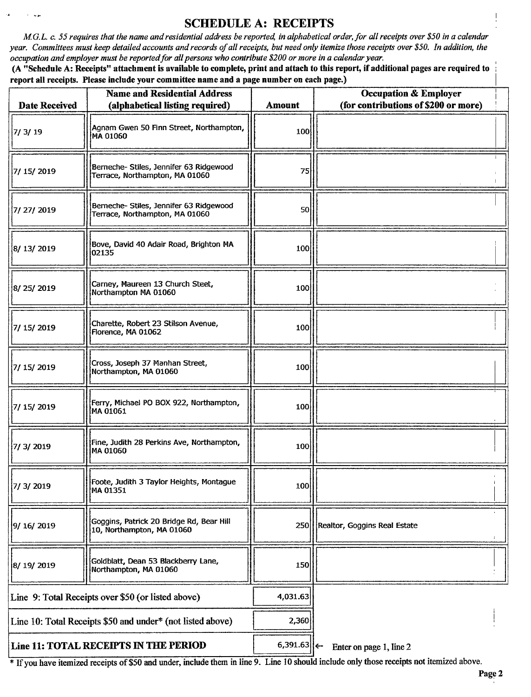### SCHEDULE A: RECEIPTS

M.G.L. c. 55 requires that the name and residential address be reported, in alphabetical order, for all receipts over \$50 in a calendar year. Committees must keep detailed accounts and records of all receipts, but need only itemize those receipts over \$50. In addition, the occupation and employer must be reported for all persons who contribute\$ 200 or more in a calendar year.

 $\sim$  100

A" Schedule A: Receipts" attachment is available to complete, print and attach to this report, if additional pages are required to report all receipts. Please include your committee name and a page number on each page.)

| <b>Date Received</b> | <b>Name and Residential Address</b><br>(alphabetical listing required)    | <b>Amount</b> | <b>Occupation &amp; Employer</b><br>(for contributions of \$200 or more) |
|----------------------|---------------------------------------------------------------------------|---------------|--------------------------------------------------------------------------|
| 7/3/19               | Agnam Gwen 50 Finn Street, Northampton,<br>MA 01060                       | 100           |                                                                          |
| 7/ 15/ 2019          | Berneche- Stiles, Jennifer 63 Ridgewood<br>Terrace, Northampton, MA 01060 | 75            |                                                                          |
| 7/ 27/ 2019          | Berneche- Stiles, Jennifer 63 Ridgewood<br>Terrace, Northampton, MA 01060 | 50            |                                                                          |
| 8/ 13/ 2019          | Bove, David 40 Adair Road, Brighton MA<br>02135                           | 100           |                                                                          |
| 8/25/2019            | Carney, Maureen 13 Church Steet,<br>Northampton MA 01060                  | 100           |                                                                          |
| 7/ 15/ 2019          | Charette, Robert 23 Stilson Avenue,<br>Florence, MA 01062                 | 100           |                                                                          |
| 7/15/2019            | Cross, Joseph 37 Manhan Street,<br>Northampton, MA 01060                  | 100           |                                                                          |
| 7/ 15/ 2019          | Ferry, Michael PO BOX 922, Northampton,<br>MA 01061                       | 100           |                                                                          |
| 7/3/2019             | Fine, Judith 28 Perkins Ave, Northampton,<br>MA 01060                     | 100           |                                                                          |
| 7/ 3/ 2019           | Foote, Judith 3 Taylor Heights, Montague<br>MA 01351                      | 100           |                                                                          |
| 9/ 16/ 2019          | Goggins, Patrick 20 Bridge Rd, Bear Hill<br>10, Northampton, MA 01060     |               | 250   Realtor, Goggins Real Estate                                       |
| 8/19/2019            | Goldblatt, Dean 53 Blackberry Lane,<br>Northampton, MA 01060              | 150           |                                                                          |
|                      | Line 9: Total Receipts over \$50 (or listed above)                        | 4,031.63      |                                                                          |
|                      | Line 10: Total Receipts \$50 and under* (not listed above)                | 2,360         |                                                                          |
|                      | Line 11: TOTAL RECEIPTS IN THE PERIOD                                     | 6,391.63      | Enter on page 1, line 2                                                  |

If you have itemized receipts of\$50 and under, include them in line 9. Line <sup>10</sup> should include only those receipts not itemized above.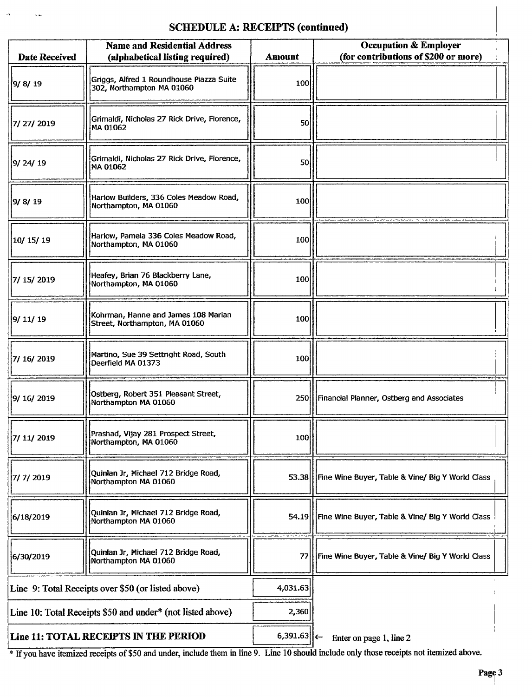#### SCHEDULE A: RECEIPTS (continued)

 $\bar{\omega}_\mathrm{f}$ 

 $\sim$   $\sim$ 

| <b>Date Received</b> | <b>Name and Residential Address</b><br>(alphabetical listing required) | <b>Amount</b> | <b>Occupation &amp; Employer</b><br>(for contributions of \$200 or more) |
|----------------------|------------------------------------------------------------------------|---------------|--------------------------------------------------------------------------|
| 9/ 8/ 19             | Griggs, Alfred 1 Roundhouse Piazza Suite<br>302, Northampton MA 01060  | 100           |                                                                          |
| 7/27/2019            | Grimaldi, Nicholas 27 Rick Drive, Florence,<br>MA 01062                | 50            |                                                                          |
| 9/24/19              | Grimaldi, Nicholas 27 Rick Drive, Florence,<br>MA 01062                | 50            |                                                                          |
| 9/ 8/ 19             | Harlow Builders, 336 Coles Meadow Road,<br>Northampton, MA 01060       | 100           |                                                                          |
| 10/15/19             | Harlow, Pamela 336 Coles Meadow Road,<br>Northampton, MA 01060         | 100           |                                                                          |
| 7/ 15/ 2019          | Heafey, Brian 76 Blackberry Lane,<br>Northampton, MA 01060             | 100           |                                                                          |
| 9/11/19              | Kohrman, Hanne and James 108 Marian<br>Street, Northampton, MA 01060   | 100           |                                                                          |
| 7/ 16/ 2019          | Martino, Sue 39 Settright Road, South<br>Deerfield MA 01373            | 100           |                                                                          |
| 9/ 16/ 2019          | Ostberg, Robert 351 Pleasant Street,<br>Northampton MA 01060           |               | 250 Financial Planner, Ostberg and Associates                            |
| 7/ 11/ 2019          | Prashad, Vijay 281 Prospect Street,<br>Northampton, MA 01060           | 100           |                                                                          |
| 7/ 7/ 2019           | Quinlan Jr, Michael 712 Bridge Road,<br>Northampton MA 01060           |               | 53.38 Fine Wine Buyer, Table & Vine/ Big Y World Class                   |
| 6/18/2019            | Quinlan Jr, Michael 712 Bridge Road,<br>Northampton MA 01060           |               | 54.19 Fine Wine Buyer, Table & Vine/ Big Y World Class                   |
| 6/30/2019            | Quinlan Jr, Michael 712 Bridge Road,<br>Northampton MA 01060           | 77            | Fine Wine Buyer, Table & Vine/ Big Y World Class                         |
|                      | Line 9: Total Receipts over \$50 (or listed above)                     | 4,031.63      |                                                                          |
|                      | Line 10: Total Receipts \$50 and under* (not listed above)             | 2,360         |                                                                          |
|                      | Line 11: TOTAL RECEIPTS IN THE PERIOD                                  | 6,391.63      | Enter on page 1, line 2                                                  |

<sup>1</sup> If you have itemized receipts of \$50 and under, include them in line 9. Line 10 should include only those receipts not itemized above.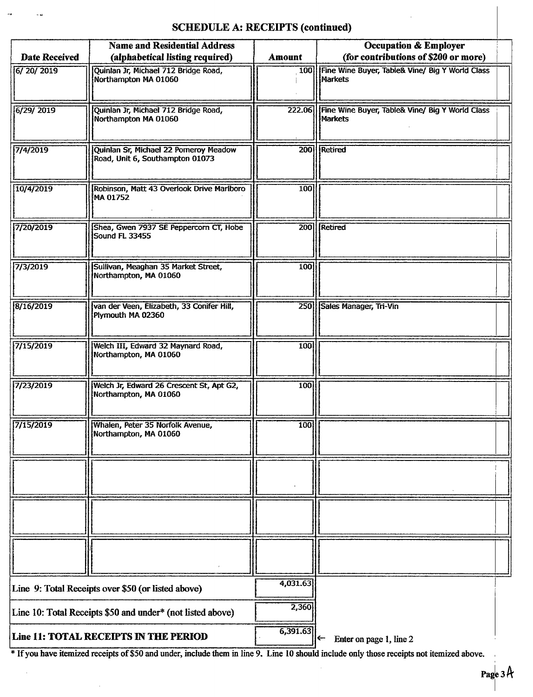# SCHEDULE A: RECEIPTS (continued)

 $\sim$  as

|                      | <b>Name and Residential Address</b>                                       |               | <b>Occupation &amp; Employer</b>                                         |
|----------------------|---------------------------------------------------------------------------|---------------|--------------------------------------------------------------------------|
| <b>Date Received</b> | (alphabetical listing required)                                           | <b>Amount</b> | (for contributions of \$200 or more)                                     |
| 6/20/2019            | Quinlan Jr, Michael 712 Bridge Road,<br>Northampton MA 01060              | 100           | Fine Wine Buyer, Table& Vine/ Big Y World Class<br>Markets               |
| 6/29/2019            | Quinlan Jr, Michael 712 Bridge Road,<br>Northampton MA 01060              |               | 222.06 Fine Wine Buyer, Table& Vine/ Big Y World Class<br><b>Markets</b> |
| 7/4/2019             | Quinlan Sr, Michael 22 Porneroy Meadow<br>Road, Unit 6, Southampton 01073 | 200           | <b>Retired</b>                                                           |
| 10/4/2019            | Robinson, Matt 43 Overlook Drive Marlboro<br><b>MA 01752</b>              | 100           |                                                                          |
| 7/20/2019            | Shea, Gwen 7937 SE Peppercorn CT, Hobe<br>Sound FL 33455                  | 200           | Retired                                                                  |
| 7/3/2019             | Sullivan, Meaghan 35 Market Street,<br>Northampton, MA 01060              | 100           |                                                                          |
| 8/16/2019            | van der Veen, Elizabeth, 33 Conifer Hill,<br>Plymouth MA 02360            |               | 250 Sales Manager, Tri-Vin                                               |
| 7/15/2019            | Welch III, Edward 32 Maynard Road,<br>Northampton, MA 01060               | 100           |                                                                          |
| 7/23/2019            | Welch Jr, Edward 26 Crescent St, Apt G2,<br>Northampton, MA 01060         | 100           |                                                                          |
| 7/15/2019            | Whalen, Peter 35 Norfolk Avenue,<br>Northampton, MA 01060                 | 100           |                                                                          |
|                      |                                                                           |               |                                                                          |
|                      |                                                                           |               |                                                                          |
|                      |                                                                           |               |                                                                          |
|                      | Line 9: Total Receipts over \$50 (or listed above)                        | 4,031.63      |                                                                          |
|                      | Line 10: Total Receipts \$50 and under* (not listed above)                | 2,360         |                                                                          |
|                      | Line 11: TOTAL RECEIPTS IN THE PERIOD                                     | 6,391.63      | $\leftarrow$<br>Enter on page 1, line 2                                  |

If you have itemized receipts of\$ <sup>50</sup> and under, include them in line 9. Line <sup>10</sup> should include only those receipts not itemized above.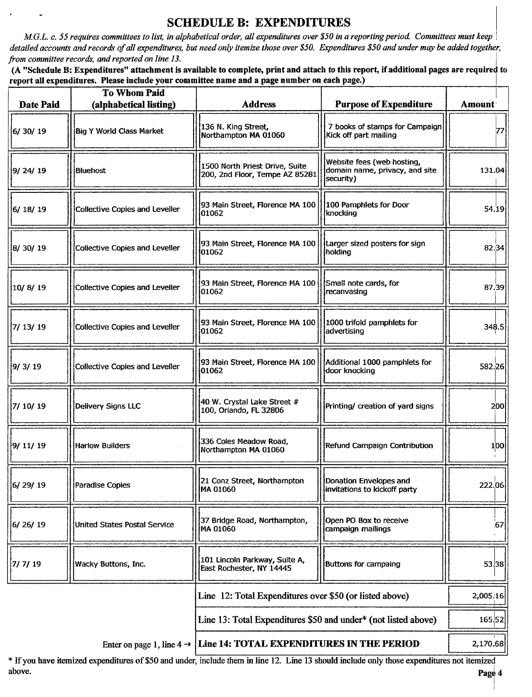# SCHEDULE B: EXPENDITURES

M.G.L. c. 55 requires committees to list, in alphabetical order, all expenditures over \$50 in a reporting period. Committees must keep detailed accounts and records of all expenditures, but need only itemize those over \$50. Expenditures \$50 and under may be added together, from committee records, and reported on line 13.

A" Schedule B: Expenditures" attachment is available to complete, print and attach to this report, ifadditional pages are required to report all expenditures. Please include your committee name and a page number on each page.)

|                              | To Whom Paid                              |                                                                                                              |                                                                                                                                                                                                                                                                                                                                                                                      |          |
|------------------------------|-------------------------------------------|--------------------------------------------------------------------------------------------------------------|--------------------------------------------------------------------------------------------------------------------------------------------------------------------------------------------------------------------------------------------------------------------------------------------------------------------------------------------------------------------------------------|----------|
| Date Paid                    | (alphabetical listing)                    | <b>Address</b>                                                                                               | Purpose of Expenditure   Amount                                                                                                                                                                                                                                                                                                                                                      |          |
| 6/30/19                      | Big Y World Class Market                  | 136 N. King Street,<br>Northampton MA 01060                                                                  | 7 books of stamps for Campaign<br>Kick off part mailing                                                                                                                                                                                                                                                                                                                              |          |
| 9/ 24/ 19                    | <b>Bluehost</b>                           |                                                                                                              | 1500 North Priest Drive, Suite<br>200, 2nd Floor, Tempe AZ 85281 domain name, privacy, and site                                                                                                                                                                                                                                                                                      | 131.04   |
| 6/ 18/ 19                    | Collective Copies and Leveller            | [100 Pamphlets for Street, Florence MA 100   100 Pamphlets for Door<br>101062                                | <b>knocking</b>                                                                                                                                                                                                                                                                                                                                                                      | 54.19    |
| 8/30/19                      | Collective Copies and Leveller            | $\frac{1}{2}$ 93 Main Street, Florence MA 100 $\frac{1}{2}$ Larger sized posters for sign<br>$ 01062\rangle$ | holding                                                                                                                                                                                                                                                                                                                                                                              | 82.34    |
| $\left 10/8/19\right\rangle$ | Collective Copies and Leveller            | [93 Main Street, Florence MA 100   Small note cards, for<br>01062                                            | $\left \right $ recanvasing                                                                                                                                                                                                                                                                                                                                                          | 87.39    |
| 7/ 13/ 19                    | Collective Copies and Leveller            | $\frac{1}{2}$ 93 Main Street, Florence MA 100 $\frac{1}{2}$ 1000 trifold pamphlets for<br>  01062            | advertising                                                                                                                                                                                                                                                                                                                                                                          | 348.5    |
| 9/ 3/ 19                     | Toollective Copies and Leveller    201062 |                                                                                                              | 93 Main Street, Florence MA 100    Additional 1000 pamphlets for<br>  door knocking                                                                                                                                                                                                                                                                                                  | 582.26   |
| 7/ 10/ 19                    | Delivery Signs LLC                        | $\left\vert \left\vert \right\vert$ 40 W. Crystal Lake Street #<br>100, Orlando, FL 32806                    | <b>Printing/</b> creation of yard signs                                                                                                                                                                                                                                                                                                                                              |          |
| 9/ 11/ 19                    | Harlow Builders                           | 336 Coles Meadow Road,<br>Northampton MA 01060                                                               | Refund Campaign Contribution                                                                                                                                                                                                                                                                                                                                                         |          |
| 6/29/19                      | Paradise Copies                           | 21 Conz Street, Northampton   Donation Envelopes and<br>  MA 01060<br>  invitations to kickoff party         |                                                                                                                                                                                                                                                                                                                                                                                      | 222.06   |
| 6/26/19                      | United States Postal Service              | 37 Bridge Road, Northampton,   Open PO Box to receive<br>  MA 01060                                          |                                                                                                                                                                                                                                                                                                                                                                                      |          |
| 7/7/19                       | Wacky Buttons, Inc.                       |                                                                                                              | الموارد الموارد الموارد الموارد الموارد الموارد الموارد الموارد الموارد الموارد الموارد الموارد الموارد الموار<br>ويستمر المستقل الموارد الموارد الموارد الموارد الموارد الموارد الموارد الموارد الموارد الموارد الموارد الموارد                                                                                                                                                     | 53.38    |
|                              |                                           | Line 12: Total Expenditures over \$50 (or listed above)                                                      |                                                                                                                                                                                                                                                                                                                                                                                      | 2,005.16 |
|                              |                                           |                                                                                                              |                                                                                                                                                                                                                                                                                                                                                                                      |          |
|                              |                                           |                                                                                                              | Line 13: Total Expenditures \$50 and under* (not listed above)                                                                                                                                                                                                                                                                                                                       | 165.52   |
|                              |                                           | Enter on page 1, line $4 \rightarrow$ Line 14: TOTAL EXPENDITURES IN THE PERIOD                              | $\overline{1}$ $\overline{1}$ $\overline{1}$ $\overline{1}$ $\overline{1}$ $\overline{1}$ $\overline{1}$ $\overline{1}$ $\overline{1}$ $\overline{1}$ $\overline{1}$ $\overline{1}$ $\overline{1}$ $\overline{1}$ $\overline{1}$ $\overline{1}$ $\overline{1}$ $\overline{1}$ $\overline{1}$ $\overline{1}$ $\overline{1}$ $\overline{1}$ $\overline{1}$ $\overline{1}$ $\overline{$ | 2,170.68 |

If you have itemized expenditures of\$50 and under, include them in line 12. Line <sup>13</sup> should include only those expenditures not itemized above. **Page** 4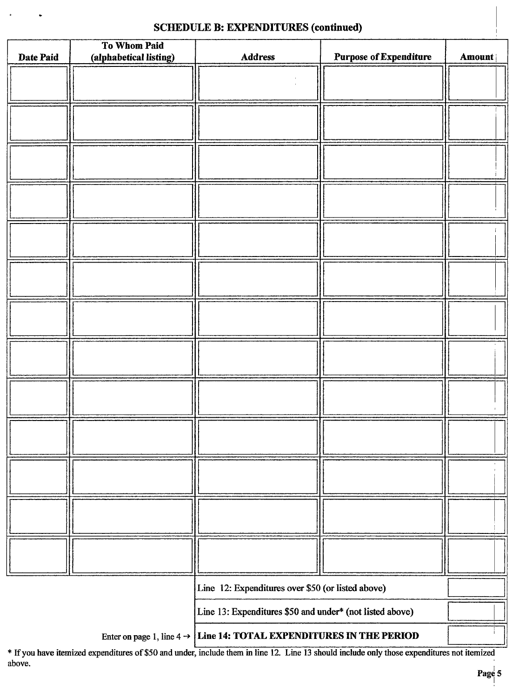#### SCHEDULE B: EXPENDITURES (continued)

 $\ddot{\phantom{0}}$ 

| Date Paid                                                | To Whom Paid<br>(alphabetical listing) | <b>Address</b> | <b>Purpose of Expenditure</b> | Amount |
|----------------------------------------------------------|----------------------------------------|----------------|-------------------------------|--------|
|                                                          |                                        |                |                               |        |
|                                                          |                                        |                |                               |        |
|                                                          |                                        |                |                               |        |
|                                                          |                                        |                |                               |        |
|                                                          |                                        |                |                               |        |
|                                                          |                                        |                |                               |        |
|                                                          |                                        |                |                               |        |
|                                                          |                                        |                |                               |        |
|                                                          |                                        |                |                               |        |
|                                                          |                                        |                |                               |        |
|                                                          |                                        |                |                               |        |
|                                                          |                                        |                |                               |        |
|                                                          |                                        |                |                               |        |
|                                                          |                                        |                |                               |        |
|                                                          |                                        |                |                               |        |
|                                                          |                                        |                |                               |        |
|                                                          |                                        |                |                               |        |
|                                                          |                                        |                |                               |        |
|                                                          |                                        |                |                               |        |
|                                                          |                                        |                |                               |        |
|                                                          |                                        |                |                               |        |
|                                                          |                                        |                |                               |        |
|                                                          |                                        |                |                               |        |
|                                                          |                                        |                |                               |        |
|                                                          |                                        |                |                               |        |
|                                                          |                                        |                |                               |        |
|                                                          |                                        |                |                               |        |
|                                                          |                                        |                |                               |        |
|                                                          |                                        |                |                               |        |
| Line 12: Expenditures over \$50 (or listed above)        |                                        |                |                               |        |
| Line 13: Expenditures \$50 and under* (not listed above) |                                        |                |                               |        |
|                                                          |                                        |                |                               |        |

Enter on page 1, line  $4 \rightarrow$  Line 14: TOTAL EXPENDITURES IN THE PERIOD

If you have itemized expenditures of\$50 and under, include them in line 12. Line <sup>13</sup> should include only those expenditures not itemized above.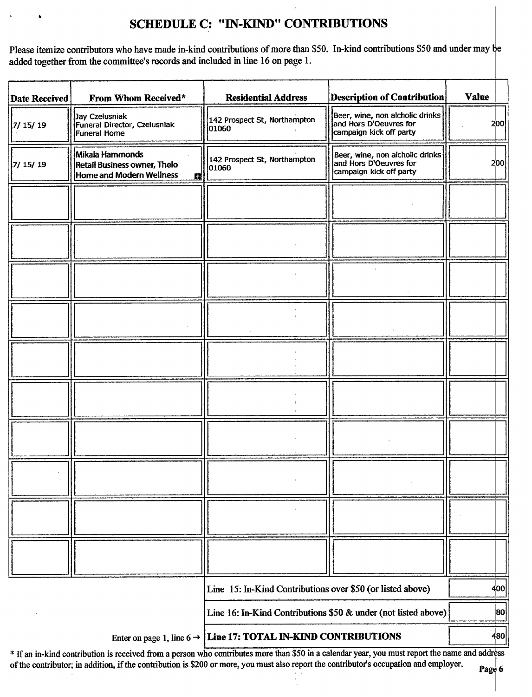# SCHEDULE C: " IN-KIND" CONTRIBUTIONS

Please itemize contributors who have made in-kind contributions of more than \$50. In-kind contributions \$50 and under may be added together from the committee's records and included in line 16 on page 1.

| <b>Date Received</b>                                           | From Whom Received*                                                              | <b>Residential Address</b>                                 | <b>Description of Contribution</b>                                                   | <b>Value</b> |
|----------------------------------------------------------------|----------------------------------------------------------------------------------|------------------------------------------------------------|--------------------------------------------------------------------------------------|--------------|
| 7/ 15/ 19                                                      | Jay Czelusniak<br>Funeral Director, Czelusniak<br>Funeral Home                   | 142 Prospect St, Northampton<br>01060                      | Beer, wine, non alcholic drinks<br>and Hors D'Oeuvres for<br>campaign kick off party | 200          |
| 7/15/19                                                        | Mikala Hammonds<br>Retail Business owner, Thelo<br>Home and Modern Wellness<br>脳 | 142 Prospect St, Northampton<br>01060                      | Beer, wine, non alcholic drinks<br>and Hors D'Oeuvres for<br>campaign kick off party | 200          |
|                                                                |                                                                                  |                                                            |                                                                                      |              |
|                                                                |                                                                                  |                                                            |                                                                                      |              |
|                                                                |                                                                                  |                                                            |                                                                                      |              |
|                                                                |                                                                                  |                                                            |                                                                                      |              |
|                                                                |                                                                                  |                                                            |                                                                                      |              |
|                                                                |                                                                                  |                                                            |                                                                                      |              |
|                                                                |                                                                                  |                                                            |                                                                                      |              |
|                                                                |                                                                                  |                                                            |                                                                                      |              |
|                                                                |                                                                                  |                                                            |                                                                                      |              |
|                                                                |                                                                                  |                                                            |                                                                                      |              |
|                                                                |                                                                                  | Line 15: In-Kind Contributions over \$50 (or listed above) | 400                                                                                  |              |
| Line 16: In-Kind Contributions \$50 & under (not listed above) |                                                                                  |                                                            | 80                                                                                   |              |
|                                                                | ARITH THEITIARE                                                                  |                                                            |                                                                                      |              |

Enter on page 1, line  $6 \rightarrow$  Line 17: TOTAL IN-KIND CONTRIBUTIONS

\* If an in-kind contribution is received from a person who contributes more than \$50 in a calendar year, you must report the name and address of the contributor; in addition, if the contribution is \$200 or more, you must also report the contributor's occupation and employer.